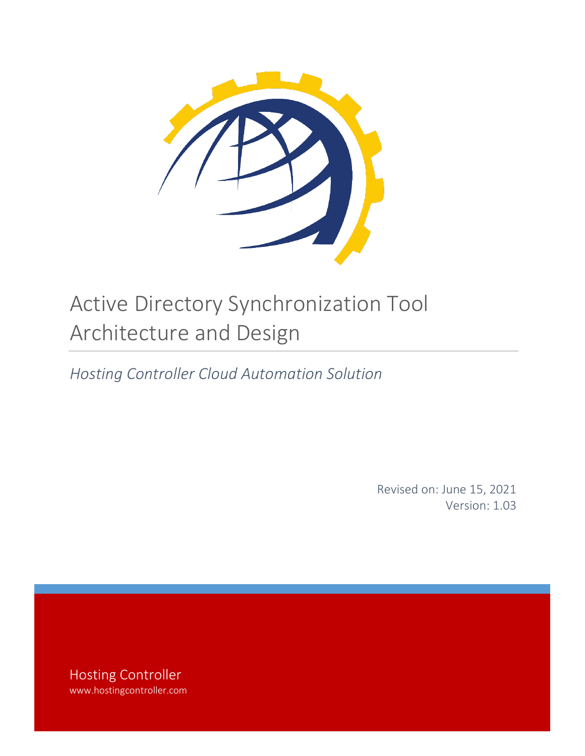

# Active Directory Synchronization Tool Architecture and Design

*Hosting Controller Cloud Automation Solution*

Revised on: June 15, 2021 Version: 1.03

Hosting Controller www.hostingcontroller.com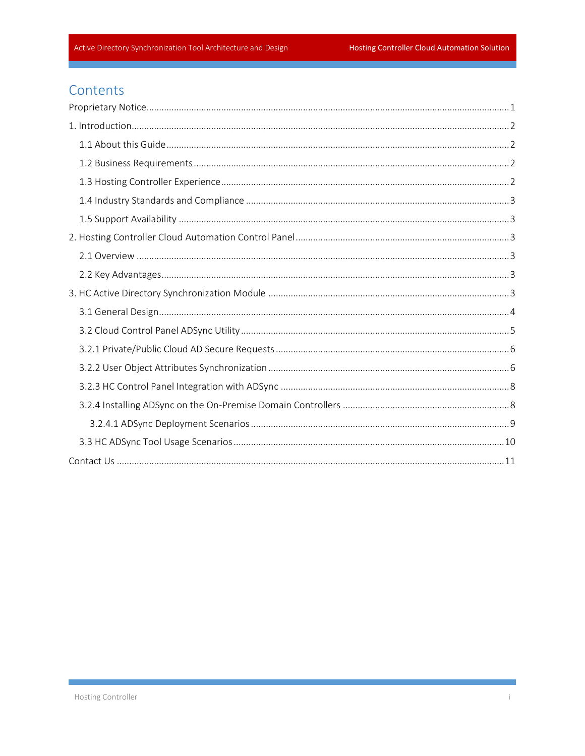# Contents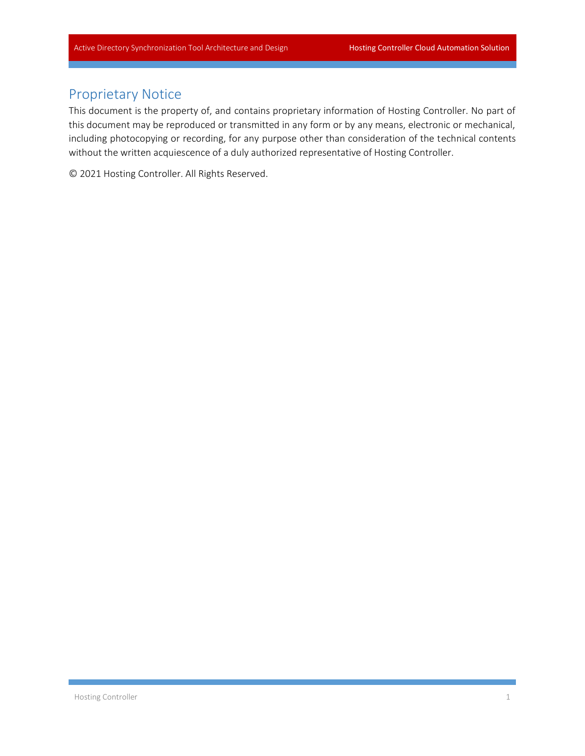## <span id="page-2-0"></span>Proprietary Notice

This document is the property of, and contains proprietary information of Hosting Controller. No part of this document may be reproduced or transmitted in any form or by any means, electronic or mechanical, including photocopying or recording, for any purpose other than consideration of the technical contents without the written acquiescence of a duly authorized representative of Hosting Controller.

© 2021 Hosting Controller. All Rights Reserved.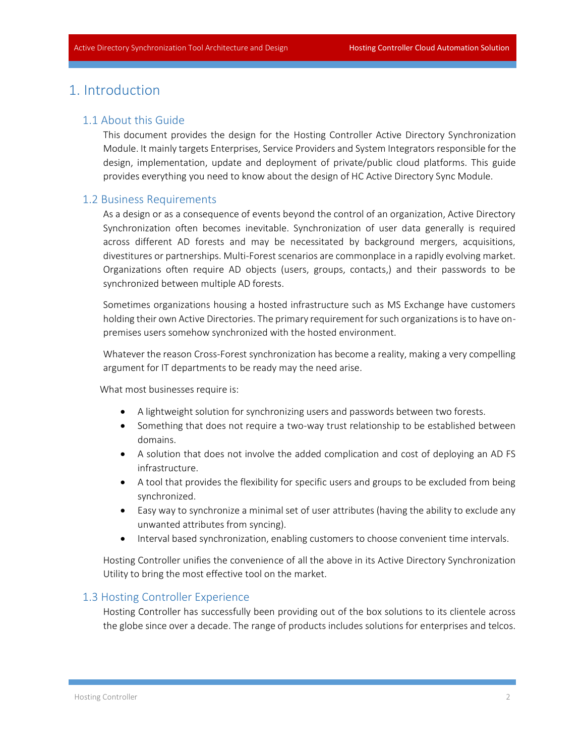## <span id="page-3-1"></span><span id="page-3-0"></span>1. Introduction

#### 1.1 About this Guide

This document provides the design for the Hosting Controller Active Directory Synchronization Module. It mainly targets Enterprises, Service Providers and System Integrators responsible for the design, implementation, update and deployment of private/public cloud platforms. This guide provides everything you need to know about the design of HC Active Directory Sync Module.

#### <span id="page-3-2"></span>1.2 Business Requirements

As a design or as a consequence of events beyond the control of an organization, Active Directory Synchronization often becomes inevitable. Synchronization of user data generally is required across different AD forests and may be necessitated by background mergers, acquisitions, divestitures or partnerships. Multi-Forest scenarios are commonplace in a rapidly evolving market. Organizations often require AD objects (users, groups, contacts,) and their passwords to be synchronized between multiple AD forests.

Sometimes organizations housing a hosted infrastructure such as MS Exchange have customers holding their own Active Directories. The primary requirement for such organizations is to have onpremises users somehow synchronized with the hosted environment.

Whatever the reason Cross-Forest synchronization has become a reality, making a very compelling argument for IT departments to be ready may the need arise.

What most businesses require is:

- A lightweight solution for synchronizing users and passwords between two forests.
- Something that does not require a two-way trust relationship to be established between domains.
- A solution that does not involve the added complication and cost of deploying an AD FS infrastructure.
- A tool that provides the flexibility for specific users and groups to be excluded from being synchronized.
- Easy way to synchronize a minimal set of user attributes (having the ability to exclude any unwanted attributes from syncing).
- Interval based synchronization, enabling customers to choose convenient time intervals.

Hosting Controller unifies the convenience of all the above in its Active Directory Synchronization Utility to bring the most effective tool on the market.

#### <span id="page-3-3"></span>1.3 Hosting Controller Experience

Hosting Controller has successfully been providing out of the box solutions to its clientele across the globe since over a decade. The range of products includes solutions for enterprises and telcos.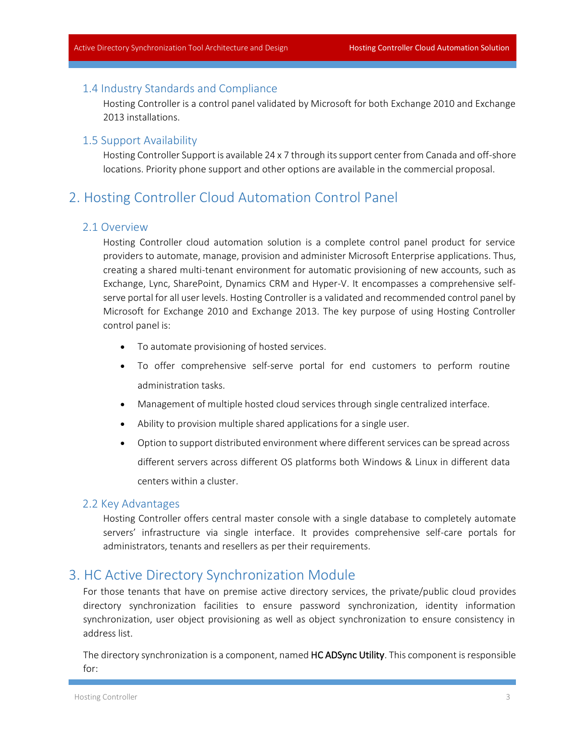#### <span id="page-4-0"></span>1.4 Industry Standards and Compliance

Hosting Controller is a control panel validated by Microsoft for both Exchange 2010 and Exchange 2013 installations.

#### <span id="page-4-1"></span>1.5 Support Availability

Hosting Controller Support is available 24 x 7 through its support center from Canada and off-shore locations. Priority phone support and other options are available in the commercial proposal.

# <span id="page-4-3"></span><span id="page-4-2"></span>2. Hosting Controller Cloud Automation Control Panel

#### 2.1 Overview

Hosting Controller cloud automation solution is a complete control panel product for service providers to automate, manage, provision and administer Microsoft Enterprise applications. Thus, creating a shared multi-tenant environment for automatic provisioning of new accounts, such as Exchange, Lync, SharePoint, Dynamics CRM and Hyper-V. It encompasses a comprehensive selfserve portal for all user levels. Hosting Controller is a validated and recommended control panel by Microsoft for Exchange 2010 and Exchange 2013. The key purpose of using Hosting Controller control panel is:

- To automate provisioning of hosted services.
- To offer comprehensive self-serve portal for end customers to perform routine administration tasks.
- Management of multiple hosted cloud services through single centralized interface.
- Ability to provision multiple shared applications for a single user.
- Option to support distributed environment where different services can be spread across different servers across different OS platforms both Windows & Linux in different data centers within a cluster.

#### <span id="page-4-4"></span>2.2 Key Advantages

Hosting Controller offers central master console with a single database to completely automate servers' infrastructure via single interface. It provides comprehensive self-care portals for administrators, tenants and resellers as per their requirements.

## <span id="page-4-5"></span>3. HC Active Directory Synchronization Module

For those tenants that have on premise active directory services, the private/public cloud provides directory synchronization facilities to ensure password synchronization, identity information synchronization, user object provisioning as well as object synchronization to ensure consistency in address list.

The directory synchronization is a component, named HC ADSync Utility. This component is responsible for: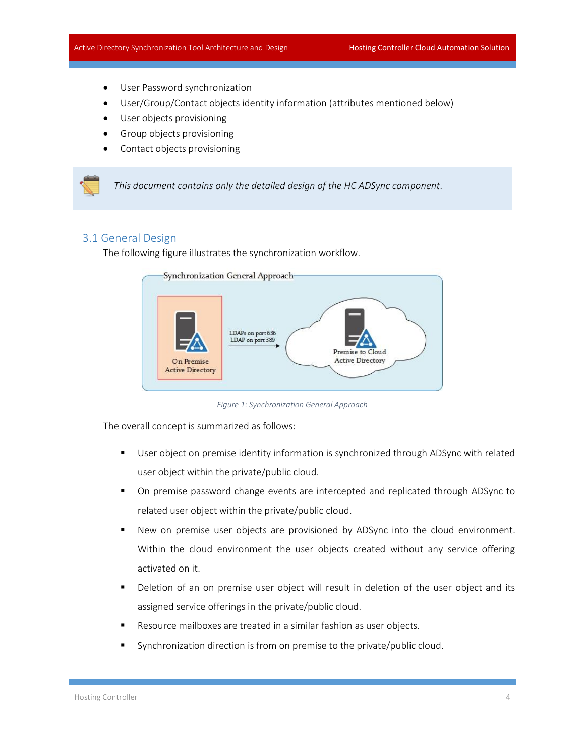- User Password synchronization
- User/Group/Contact objects identity information (attributes mentioned below)
- User objects provisioning
- Group objects provisioning
- Contact objects provisioning

*This document contains only the detailed design of the HC ADSync component.*

#### <span id="page-5-0"></span>3.1 General Design

The following figure illustrates the synchronization workflow.



*Figure 1: Synchronization General Approach*

The overall concept is summarized as follows:

- **■** User object on premise identity information is synchronized through ADSync with related user object within the private/public cloud.
- On premise password change events are intercepted and replicated through ADSync to related user object within the private/public cloud.
- New on premise user objects are provisioned by ADSync into the cloud environment. Within the cloud environment the user objects created without any service offering activated on it.
- Deletion of an on premise user object will result in deletion of the user object and its assigned service offerings in the private/public cloud.
- Resource mailboxes are treated in a similar fashion as user objects.
- Synchronization direction is from on premise to the private/public cloud.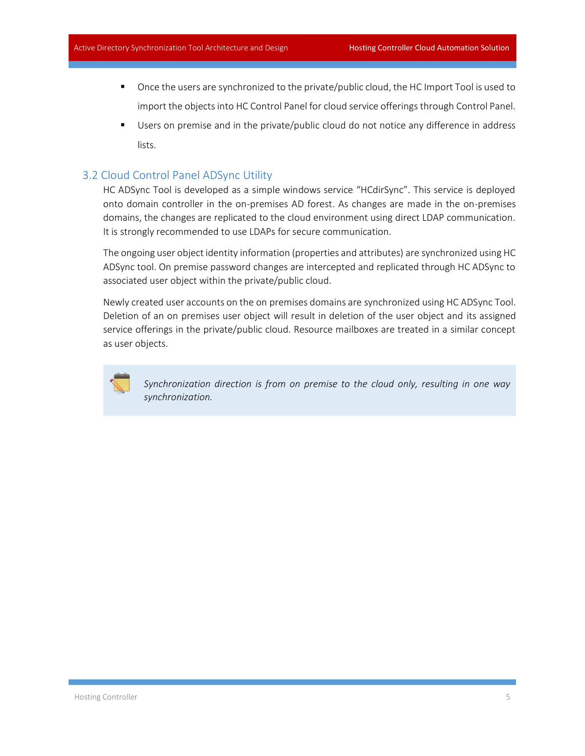- Once the users are synchronized to the private/public cloud, the HC Import Tool is used to import the objects into HC Control Panel for cloud service offerings through Control Panel.
- Users on premise and in the private/public cloud do not notice any difference in address lists.

#### <span id="page-6-0"></span>3.2 Cloud Control Panel ADSync Utility

HC ADSync Tool is developed as a simple windows service "HCdirSync". This service is deployed onto domain controller in the on-premises AD forest. As changes are made in the on-premises domains, the changes are replicated to the cloud environment using direct LDAP communication. It is strongly recommended to use LDAPs for secure communication.

The ongoing user object identity information (properties and attributes) are synchronized using HC ADSync tool. On premise password changes are intercepted and replicated through HC ADSync to associated user object within the private/public cloud.

Newly created user accounts on the on premises domains are synchronized using HC ADSync Tool. Deletion of an on premises user object will result in deletion of the user object and its assigned service offerings in the private/public cloud. Resource mailboxes are treated in a similar concept as user objects.



*Synchronization direction is from on premise to the cloud only, resulting in one way synchronization.*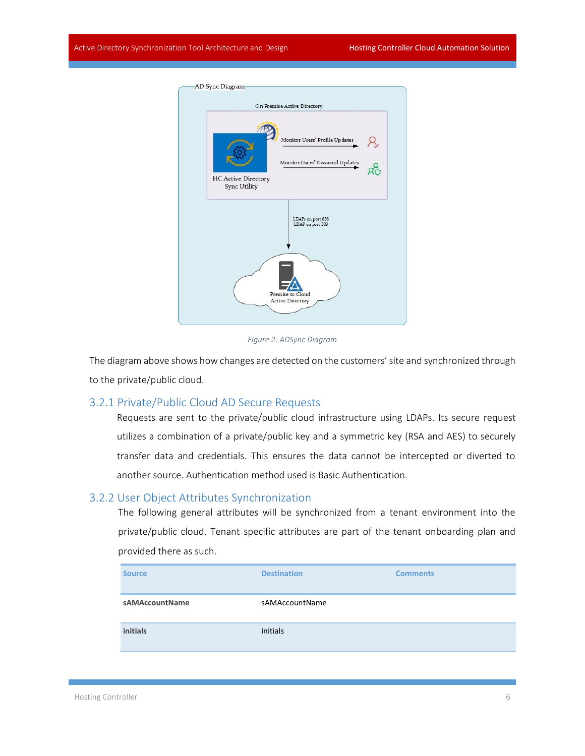

*Figure 2: ADSync Diagram*

The diagram above shows how changes are detected on the customers' site and synchronized through to the private/public cloud.

#### <span id="page-7-0"></span>3.2.1 Private/Public Cloud AD Secure Requests

Requests are sent to the private/public cloud infrastructure using LDAPs. Its secure request utilizes a combination of a private/public key and a symmetric key (RSA and AES) to securely transfer data and credentials. This ensures the data cannot be intercepted or diverted to another source. Authentication method used is Basic Authentication.

#### <span id="page-7-1"></span>3.2.2 User Object Attributes Synchronization

The following general attributes will be synchronized from a tenant environment into the private/public cloud. Tenant specific attributes are part of the tenant onboarding plan and provided there as such.

| <b>Source</b>  | <b>Destination</b> | <b>Comments</b> |
|----------------|--------------------|-----------------|
| sAMAccountName | sAMAccountName     |                 |
| initials       | initials           |                 |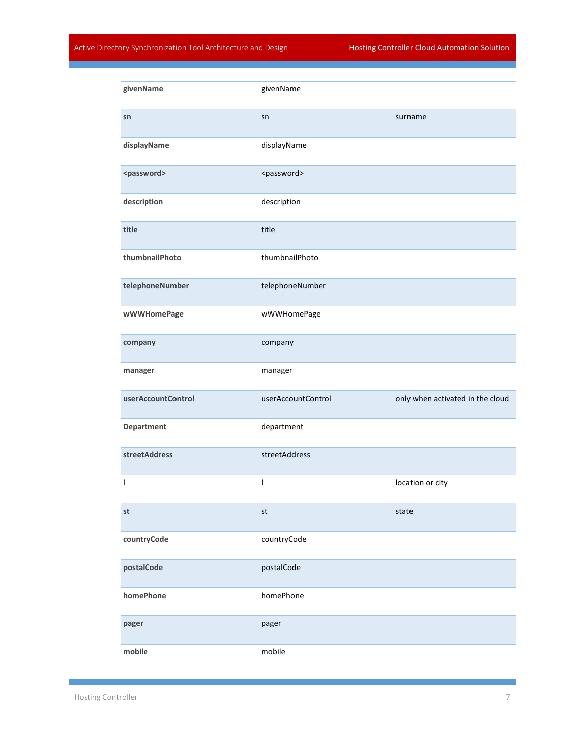#### Active Directory Synchronization Tool Architecture and Design Hosting Controller Cloud Automation Solution

| givenName             | givenName                |                                  |
|-----------------------|--------------------------|----------------------------------|
| sn                    | sn                       | surname                          |
| displayName           | displayName              |                                  |
| <password></password> | <password></password>    |                                  |
| description           | description              |                                  |
| title                 | title                    |                                  |
| thumbnailPhoto        | thumbnailPhoto           |                                  |
| telephoneNumber       | telephoneNumber          |                                  |
| wWWHomePage           | wWWHomePage              |                                  |
| company               | company                  |                                  |
|                       |                          |                                  |
| manager               | manager                  |                                  |
| userAccountControl    | userAccountControl       | only when activated in the cloud |
| Department            | department               |                                  |
| streetAddress         | streetAddress            |                                  |
| I                     | $\overline{\phantom{a}}$ | location or city                 |
| st                    | st                       | state                            |
| countryCode           | countryCode              |                                  |
| postalCode            | postalCode               |                                  |
| homePhone             | homePhone                |                                  |
| pager                 | pager                    |                                  |

Ξ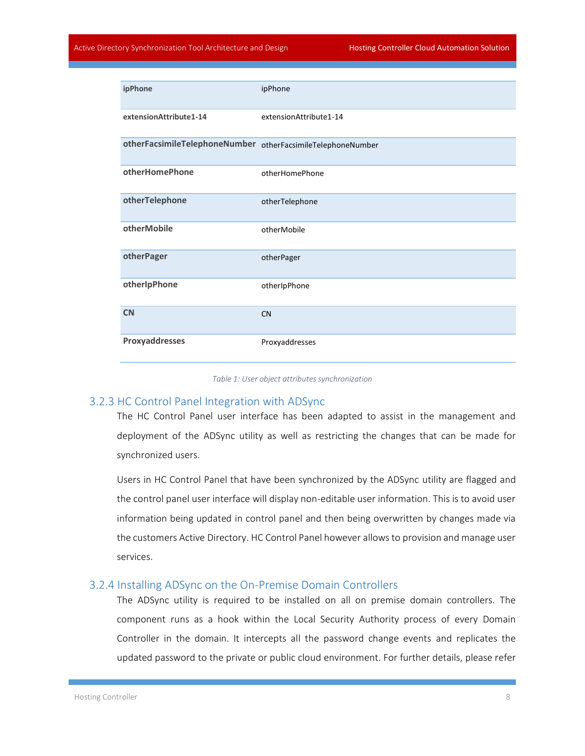| ipPhone                                                     | ipPhone                |
|-------------------------------------------------------------|------------------------|
| extensionAttribute1-14                                      | extensionAttribute1-14 |
| otherFacsimileTelephoneNumber otherFacsimileTelephoneNumber |                        |
| otherHomePhone                                              | otherHomePhone         |
| otherTelephone                                              | otherTelephone         |
| otherMobile                                                 | otherMobile            |
| otherPager                                                  | otherPager             |
| otherIpPhone                                                | otherIpPhone           |
| <b>CN</b>                                                   | <b>CN</b>              |
| Proxyaddresses                                              | Proxyaddresses         |

#### *Table 1: User object attributes synchronization*

#### <span id="page-9-0"></span>3.2.3 HC Control Panel Integration with ADSync

The HC Control Panel user interface has been adapted to assist in the management and deployment of the ADSync utility as well as restricting the changes that can be made for synchronized users.

Users in HC Control Panel that have been synchronized by the ADSync utility are flagged and the control panel user interface will display non-editable user information. This is to avoid user information being updated in control panel and then being overwritten by changes made via the customers Active Directory. HC Control Panel however allows to provision and manage user services.

#### <span id="page-9-1"></span>3.2.4 Installing ADSync on the On-Premise Domain Controllers

The ADSync utility is required to be installed on all on premise domain controllers. The component runs as a hook within the Local Security Authority process of every Domain Controller in the domain. It intercepts all the password change events and replicates the updated password to the private or public cloud environment. For further details, please refer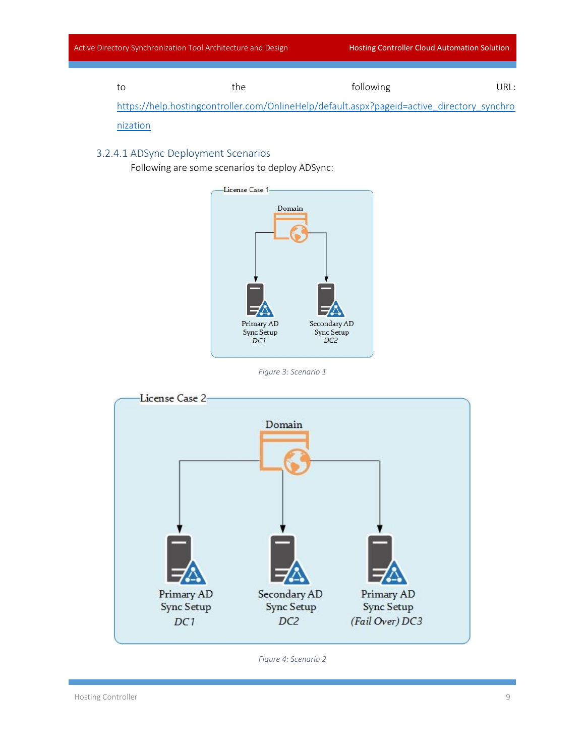|  | the                                                                                        | following | URL: I |
|--|--------------------------------------------------------------------------------------------|-----------|--------|
|  | https://help.hostingcontroller.com/OnlineHelp/default.aspx?pageid=active_directory_synchro |           |        |

[nization](https://help.hostingcontroller.com/OnlineHelp/default.aspx?pageid=active_directory_synchronization)

### <span id="page-10-0"></span>3.2.4.1 ADSync Deployment Scenarios

Following are some scenarios to deploy ADSync:



*Figure 3: Scenario 1*



*Figure 4: Scenario 2*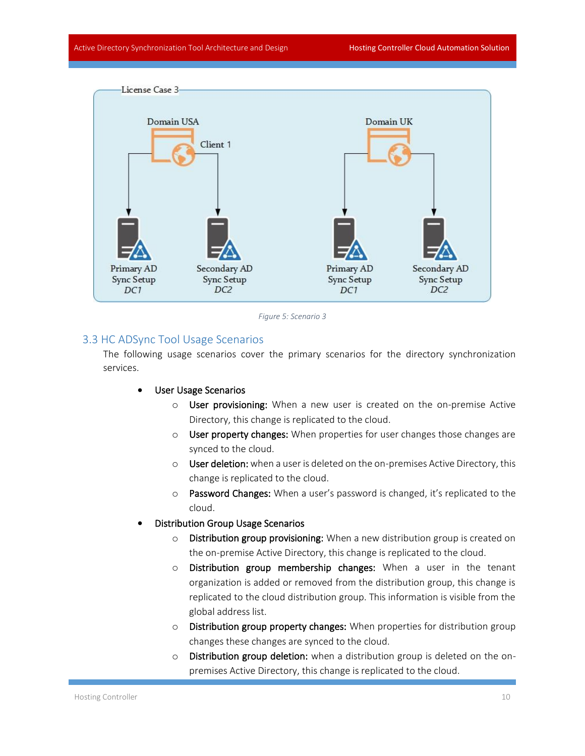



#### <span id="page-11-0"></span>3.3 HC ADSync Tool Usage Scenarios

The following usage scenarios cover the primary scenarios for the directory synchronization services.

#### User Usage Scenarios

- o User provisioning: When a new user is created on the on-premise Active Directory, this change is replicated to the cloud.
- o User property changes: When properties for user changes those changes are synced to the cloud.
- $\circ$  User deletion: when a user is deleted on the on-premises Active Directory, this change is replicated to the cloud.
- o Password Changes: When a user's password is changed, it's replicated to the cloud.
- Distribution Group Usage Scenarios
	- o Distribution group provisioning: When a new distribution group is created on the on-premise Active Directory, this change is replicated to the cloud.
	- o Distribution group membership changes: When a user in the tenant organization is added or removed from the distribution group, this change is replicated to the cloud distribution group. This information is visible from the global address list.
	- o Distribution group property changes: When properties for distribution group changes these changes are synced to the cloud.
	- o Distribution group deletion: when a distribution group is deleted on the onpremises Active Directory, this change is replicated to the cloud.